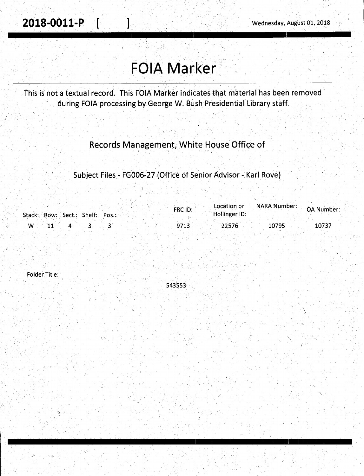$\lambda$ 

## **FOIA Marker**

This is not a textual record. This FOIA Marker indicates that material has been removed during FOIA processing by George W. Bush Presidential Library staff.

Records Management, White House Office of

. . Subject Files - FG006-27 (Office of Senior Advisor - Karl Rove)

|                                 |  | FRC ID: | Location or   | <b>NARA Number: OA Number:</b> |       |
|---------------------------------|--|---------|---------------|--------------------------------|-------|
| Stack: Row: Sect.: Shelf: Pos.: |  |         | Hollinger ID: |                                |       |
| w                               |  | 9713    | 22576         | 10795                          | 10737 |
|                                 |  |         |               |                                |       |

 $\cdot$  I

Folder Title:

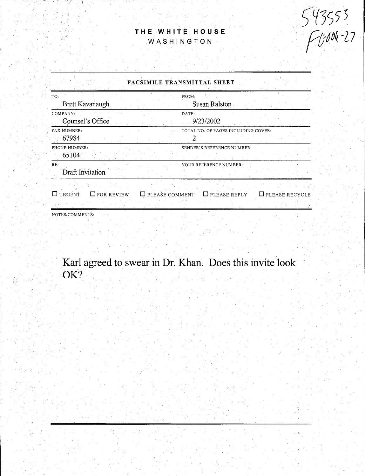## **THE WHITE HOUSE**  WASHINGTON

543553<br>Fl:004-27

.'.;

| FACSIMILE TRANSMITTAL SHEET                             |                                              |  |  |  |  |
|---------------------------------------------------------|----------------------------------------------|--|--|--|--|
| TO:<br><b>Brett Kavanaugh</b>                           | FROM:<br>Susan Ralston                       |  |  |  |  |
| COMPANY:<br>Counsel's Office                            | DATE:<br>9/23/2002                           |  |  |  |  |
| <b>FAX NUMBER:</b><br>67984                             | TOTAL NO. OF PAGES INCLUDING COVER:          |  |  |  |  |
| PHONE NUMBER:<br>65104                                  | SENDER'S REFERENCE NUMBER:                   |  |  |  |  |
| RE:<br>Draft Invitation                                 | YOUR REFERENCE NUMBER:                       |  |  |  |  |
| URGENT<br>$\square$ for review<br>$\Box$ PLEASE COMMENT | $\Box$ PLEASE REPLY<br>$\Box$ please recycle |  |  |  |  |
| NOTES/COMMENTS:                                         |                                              |  |  |  |  |

Karl agreed to swear in Dr. Khan. Does this invite look OK?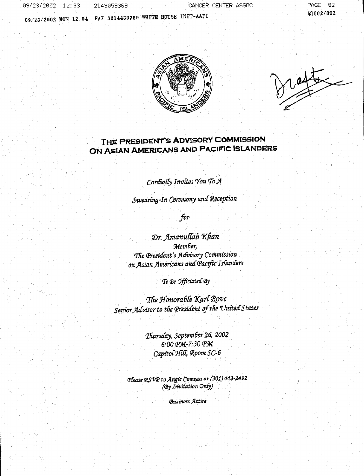09/23/2002 12:33 2149059369

CANCER CENTER ASSOC

09/23/2002 MON 12:04 FAX 3014430259 WHITE HOUSE INIT-AAPI

PAGE 02 Ø002/002



## THE PRESIDENT'S ADVISORY COMMISSION ON ASIAN AMERICANS AND PACIFIC ISLANDERS

Cordially Invites You To A

Swearing-In Ceremony and Reception

for

Dr. Amanullah Khan Member, The President's Advisory Commission on Asian Americans and Pacific Islanders

To Be Officiated By

The Honorable Karl Rove Senior Advisor to the President of the United States

> Thursday, September 26, 2002 6:00 ФМ-7:30 ФМ Capitol Hill, Room SC-6

Please RSVP to Angie Comeau at (301) 443-2492 (By Invitation Only)

**Business Attire**